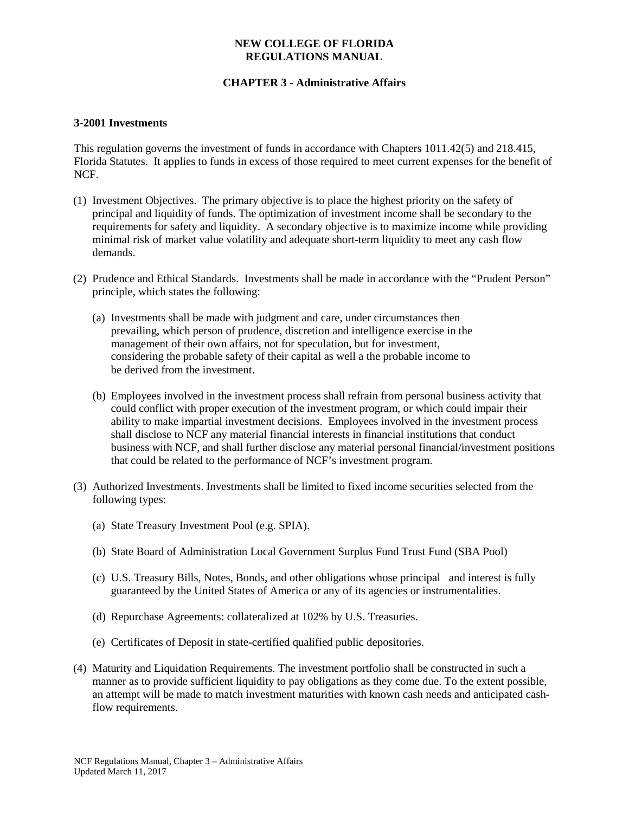### **NEW COLLEGE OF FLORIDA REGULATIONS MANUAL**

# **CHAPTER 3 - Administrative Affairs**

#### **3-2001 Investments**

This regulation governs the investment of funds in accordance with Chapters 1011.42(5) and 218.415, Florida Statutes. It applies to funds in excess of those required to meet current expenses for the benefit of NCF.

- (1) Investment Objectives. The primary objective is to place the highest priority on the safety of principal and liquidity of funds. The optimization of investment income shall be secondary to the requirements for safety and liquidity. A secondary objective is to maximize income while providing minimal risk of market value volatility and adequate short-term liquidity to meet any cash flow demands.
- (2) Prudence and Ethical Standards. Investments shall be made in accordance with the "Prudent Person" principle, which states the following:
	- (a) Investments shall be made with judgment and care, under circumstances then prevailing, which person of prudence, discretion and intelligence exercise in the management of their own affairs, not for speculation, but for investment, considering the probable safety of their capital as well a the probable income to be derived from the investment.
	- (b) Employees involved in the investment process shall refrain from personal business activity that could conflict with proper execution of the investment program, or which could impair their ability to make impartial investment decisions. Employees involved in the investment process shall disclose to NCF any material financial interests in financial institutions that conduct business with NCF, and shall further disclose any material personal financial/investment positions that could be related to the performance of NCF's investment program.
- (3) Authorized Investments. Investments shall be limited to fixed income securities selected from the following types:
	- (a) State Treasury Investment Pool (e.g. SPIA).
	- (b) State Board of Administration Local Government Surplus Fund Trust Fund (SBA Pool)
	- (c) U.S. Treasury Bills, Notes, Bonds, and other obligations whose principal and interest is fully guaranteed by the United States of America or any of its agencies or instrumentalities.
	- (d) Repurchase Agreements: collateralized at 102% by U.S. Treasuries.
	- (e) Certificates of Deposit in state-certified qualified public depositories.
- (4) Maturity and Liquidation Requirements. The investment portfolio shall be constructed in such a manner as to provide sufficient liquidity to pay obligations as they come due. To the extent possible, an attempt will be made to match investment maturities with known cash needs and anticipated cashflow requirements.